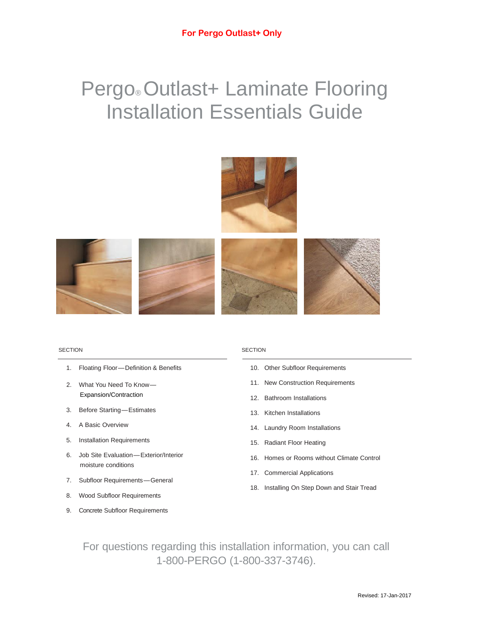# Pergo® Outlast+ Laminate Flooring Installation Essentials Guide











- 1. Floating Floor—Definition & Benefits
- 2. What You Need To Know— Expansion/Contraction
- 3. Before Starting—Estimates
- 4. A Basic Overview
- 5. Installation Requirements
- 6. Job Site Evaluation—Exterior/Interior moisture conditions
- 7. Subfloor Requirements—General
- 8. Wood Subfloor Requirements
- 9. Concrete Subfloor Requirements

#### SECTION SECTION

- 10. Other Subfloor Requirements
- 11. New Construction Requirements
- 12. Bathroom Installations
- 13. Kitchen Installations
- 14. Laundry Room Installations
- 15. Radiant Floor Heating
- 16. Homes or Rooms without Climate Control
- 17. Commercial Applications
- 18. Installing On Step Down and Stair Tread

For questions regarding this installation information, you can call 1-800-PERGO (1-800-337-3746).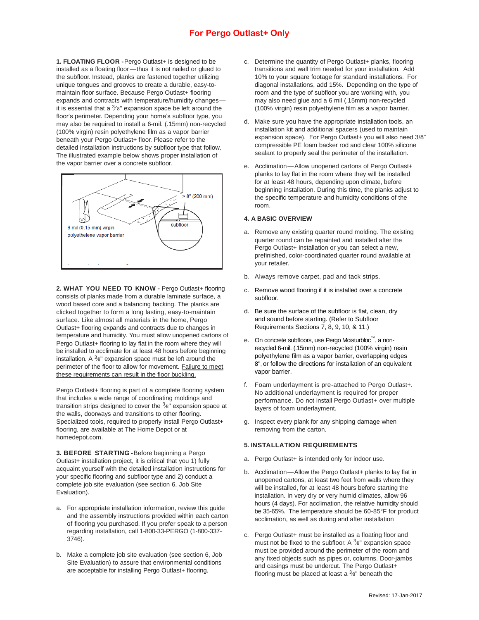**1. FLOATING FLOOR -**Pergo Outlast+ is designed to be installed as a floating floor—thus it is not nailed or glued to the subfloor. Instead, planks are fastened together utilizing unique tongues and grooves to create a durable, easy-tomaintain floor surface. Because Pergo Outlast+ flooring expands and contracts with temperature/humidity changes it is essential that a  $\frac{3}{8}$ " expansion space be left around the floor's perimeter. Depending your home's subfloor type, you may also be required to install a 6-mil. (.15mm) non-recycled (100% virgin) resin polyethylene film as a vapor barrier beneath your Pergo Outlast+ floor. Please refer to the detailed installation instructions by subfloor type that follow. The illustrated example below shows proper installation of the vapor barrier over a concrete subfloor.



**2. WHAT YOU NEED TO KNOW -** Pergo Outlast+ flooring consists of planks made from a durable laminate surface, a wood based core and a balancing backing. The planks are clicked together to form a long lasting, easy-to-maintain surface. Like almost all materials in the home, Pergo Outlast+ flooring expands and contracts due to changes in temperature and humidity. You must allow unopened cartons of Pergo Outlast+ flooring to lay flat in the room where they will be installed to acclimate for at least 48 hours before beginning installation. A  $3_8$ " expansion space must be left around the perimeter of the floor to allow for movement. Failure to meet these requirements can result in the floor buckling.

Pergo Outlast+ flooring is part of a complete flooring system that includes a wide range of coordinating moldings and transition strips designed to cover the  $3_{8}$ " expansion space at the walls, doorways and transitions to other flooring. Specialized tools, required to properly install Pergo Outlast+ flooring, are available at The Home Depot or at homedepot.com.

**3. BEFORE STARTING -**Before beginning a Pergo Outlast+ installation project, it is critical that you 1) fully acquaint yourself with the detailed installation instructions for your specific flooring and subfloor type and 2) conduct a complete job site evaluation (see section 6, Job Site Evaluation).

- a. For appropriate installation information, review this guide and the assembly instructions provided within each carton of flooring you purchased. If you prefer speak to a person regarding installation, call 1-800-33-PERGO (1-800-337- 3746).
- b. Make a complete job site evaluation (see section 6, Job Site Evaluation) to assure that environmental conditions are acceptable for installing Pergo Outlast+ flooring.
- c. Determine the quantity of Pergo Outlast+ planks, flooring transitions and wall trim needed for your installation. Add 10% to your square footage for standard installations. For diagonal installations, add 15%. Depending on the type of room and the type of subfloor you are working with, you may also need glue and a 6 mil (.15mm) non-recycled (100% virgin) resin polyethylene film as a vapor barrier.
- d. Make sure you have the appropriate installation tools, an installation kit and additional spacers (used to maintain expansion space). For Pergo Outlast+ you will also need 3/8" compressible PE foam backer rod and clear 100% silicone sealant to properly seal the perimeter of the installation.
- e. Acclimation—Allow unopened cartons of Pergo Outlast+ planks to lay flat in the room where they will be installed for at least 48 hours, depending upon climate, before beginning installation. During this time, the planks adjust to the specific temperature and humidity conditions of the room.

#### **4. A BASIC OVERVIEW**

- a. Remove any existing quarter round molding. The existing quarter round can be repainted and installed after the Pergo Outlast+ installation or you can select a new, prefinished, color-coordinated quarter round available at your retailer.
- b. Always remove carpet, pad and tack strips.
- c. Remove wood flooring if it is installed over a concrete subfloor.
- d. Be sure the surface of the subfloor is flat, clean, dry and sound before starting. (Refer to Subfloor Requirements Sections 7, 8, 9, 10, & 11.)
- e. On concrete subfloors, use Pergo Moisturbloc™, a nonrecycled 6-mil. (.15mm) non-recycled (100% virgin) resin polyethylene film as a vapor barrier, overlapping edges 8", or follow the directions for installation of an equivalent vapor barrier.
- f. Foam underlayment is pre-attached to Pergo Outlast+. No additional underlayment is required for proper performance. Do not install Pergo Outlast+ over multiple layers of foam underlayment.
- g. Inspect every plank for any shipping damage when removing from the carton.

#### **5. INSTALLATION REQUIREMENTS**

- a. Pergo Outlast+ is intended only for indoor use.
- b. Acclimation—Allow the Pergo Outlast+ planks to lay flat in unopened cartons, at least two feet from walls where they will be installed, for at least 48 hours before starting the installation. In very dry or very humid climates, allow 96 hours (4 days). For acclimation, the relative humidity should be 35-65%. The temperature should be 60-85°F for product acclimation, as well as during and after installation
- c. Pergo Outlast+ must be installed as a floating floor and must not be fixed to the subfloor. A  $3e^{\pi}$  expansion space must be provided around the perimeter of the room and any fixed objects such as pipes or, columns. Door-jambs and casings must be undercut. The Pergo Outlast+ flooring must be placed at least a  $3_{8}$ " beneath the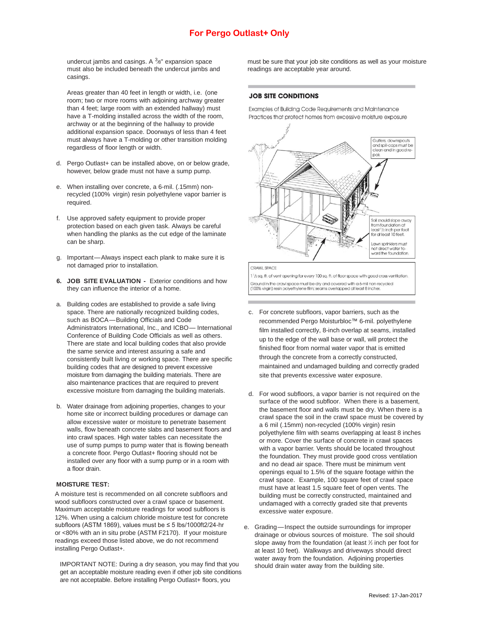undercut jambs and casings. A  $3_{8}$ " expansion space must also be included beneath the undercut jambs and casings.

Areas greater than 40 feet in length or width, i.e. (one room; two or more rooms with adjoining archway greater than 4 feet; large room with an extended hallway) must have a T-molding installed across the width of the room, archway or at the beginning of the hallway to provide additional expansion space. Doorways of less than 4 feet must always have a T-molding or other transition molding regardless of floor length or width.

- d. Pergo Outlast+ can be installed above, on or below grade, however, below grade must not have a sump pump.
- e. When installing over concrete, a 6-mil. (.15mm) nonrecycled (100% virgin) resin polyethylene vapor barrier is required.
- f. Use approved safety equipment to provide proper protection based on each given task. Always be careful when handling the planks as the cut edge of the laminate can be sharp.
- g. Important—Always inspect each plank to make sure it is not damaged prior to installation.
- **6. JOB SITE EVALUATION -** Exterior conditions and how they can influence the interior of a home.
- a. Building codes are established to provide a safe living space. There are nationally recognized building codes, such as BOCA—Building Officials and Code Administrators International, Inc., and ICBO— International Conference of Building Code Officials as well as others. There are state and local building codes that also provide the same service and interest assuring a safe and consistently built living or working space. There are specific building codes that are designed to prevent excessive moisture from damaging the building materials. There are also maintenance practices that are required to prevent excessive moisture from damaging the building materials.
- b. Water drainage from adjoining properties, changes to your home site or incorrect building procedures or damage can allow excessive water or moisture to penetrate basement walls, flow beneath concrete slabs and basement floors and into crawl spaces. High water tables can necessitate the use of sump pumps to pump water that is flowing beneath a concrete floor. Pergo Outlast+ flooring should not be installed over any floor with a sump pump or in a room with a floor drain.

#### **MOISTURE TEST:**

A moisture test is recommended on all concrete subfloors and wood subfloors constructed over a crawl space or basement. Maximum acceptable moisture readings for wood subfloors is 12%. When using a calcium chloride moisture test for concrete subfloors (ASTM 1869), values must be ≤ 5 lbs/1000ft2/24-hr or <80% with an in situ probe (ASTM F2170). If your moisture readings exceed those listed above, we do not recommend installing Pergo Outlast+.

IMPORTANT NOTE: During a dry season, you may find that you get an acceptable moisture reading even if other job site conditions are not acceptable. Before installing Pergo Outlast+ floors, you

must be sure that your job site conditions as well as your moisture readings are acceptable year around.

#### **JOB SITE CONDITIONS**

Examples of Building Code Requirements and Maintenance Practices that protect homes from excessive moisture exposure



1 1/2 sq. ft. of vent opening for every 100 sq. ft. of floor space with good cross ventilation. Ground in the crawl space must be dry and covered with a 6-mil non-recycled (100% virgin) resin polvethylene film; seams overlapped at least 8 inches

- c. For concrete subfloors, vapor barriers, such as the recommended Pergo Moisturbloc™ 6-mil. polyethylene film installed correctly, 8-inch overlap at seams, installed up to the edge of the wall base or wall, will protect the finished floor from normal water vapor that is emitted through the concrete from a correctly constructed, maintained and undamaged building and correctly graded site that prevents excessive water exposure.
- d. For wood subfloors, a vapor barrier is not required on the surface of the wood subfloor. When there is a basement, the basement floor and walls must be dry. When there is a crawl space the soil in the crawl space must be covered by a 6 mil (.15mm) non-recycled (100% virgin) resin polyethylene film with seams overlapping at least 8 inches or more. Cover the surface of concrete in crawl spaces with a vapor barrier. Vents should be located throughout the foundation. They must provide good cross ventilation and no dead air space. There must be minimum vent openings equal to 1.5% of the square footage within the crawl space. Example, 100 square feet of crawl space must have at least 1.5 square feet of open vents. The building must be correctly constructed, maintained and undamaged with a correctly graded site that prevents excessive water exposure.
- e. Grading—Inspect the outside surroundings for improper drainage or obvious sources of moisture. The soil should slope away from the foundation (at least  $\frac{1}{2}$  inch per foot for at least 10 feet). Walkways and driveways should direct water away from the foundation. Adjoining properties should drain water away from the building site.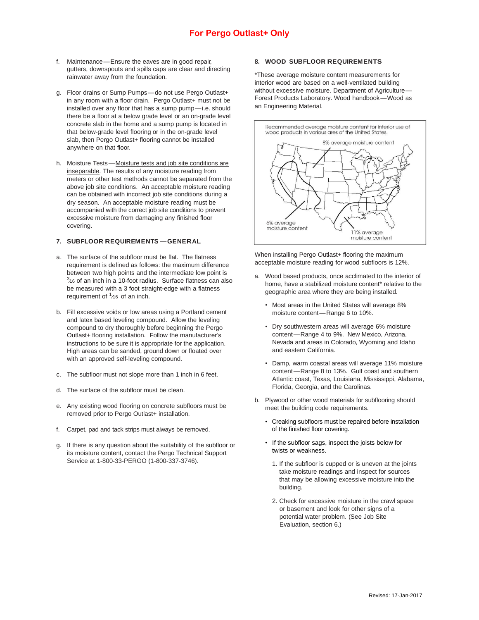- f. Maintenance—Ensure the eaves are in good repair, gutters, downspouts and spills caps are clear and directing rainwater away from the foundation.
- g. Floor drains or Sump Pumps—do not use Pergo Outlast+ in any room with a floor drain. Pergo Outlast+ must not be installed over any floor that has a sump pump—i.e. should there be a floor at a below grade level or an on-grade level concrete slab in the home and a sump pump is located in that below-grade level flooring or in the on-grade level slab, then Pergo Outlast+ flooring cannot be installed anywhere on that floor.
- h. Moisture Tests—Moisture tests and job site conditions are inseparable. The results of any moisture reading from meters or other test methods cannot be separated from the above job site conditions. An acceptable moisture reading can be obtained with incorrect job site conditions during a dry season. An acceptable moisture reading must be accompanied with the correct job site conditions to prevent excessive moisture from damaging any finished floor covering.

#### **7. SUBFLOOR REQUIREMENTS —GENERAL**

- a. The surface of the subfloor must be flat. The flatness requirement is defined as follows: the maximum difference between two high points and the intermediate low point is  $3/16$  of an inch in a 10-foot radius. Surface flatness can also be measured with a 3 foot straight-edge with a flatness requirement of  $1/16$  of an inch.
- b. Fill excessive voids or low areas using a Portland cement and latex based leveling compound. Allow the leveling compound to dry thoroughly before beginning the Pergo Outlast+ flooring installation. Follow the manufacturer's instructions to be sure it is appropriate for the application. High areas can be sanded, ground down or floated over with an approved self-leveling compound.
- c. The subfloor must not slope more than 1 inch in 6 feet.
- d. The surface of the subfloor must be clean.
- e. Any existing wood flooring on concrete subfloors must be removed prior to Pergo Outlast+ installation.
- f. Carpet, pad and tack strips must always be removed.
- g. If there is any question about the suitability of the subfloor or its moisture content, contact the Pergo Technical Support Service at 1-800-33-PERGO (1-800-337-3746).

#### **8. WOOD SUBFLOOR REQUIREMENTS**

\*These average moisture content measurements for interior wood are based on a well-ventilated building without excessive moisture. Department of Agriculture— Forest Products Laboratory. Wood handbook—Wood as an Engineering Material.



When installing Pergo Outlast+ flooring the maximum acceptable moisture reading for wood subfloors is 12%.

- a. Wood based products, once acclimated to the interior of home, have a stabilized moisture content\* relative to the geographic area where they are being installed.
	- Most areas in the United States will average 8% moisture content—Range 6 to 10%.
	- Dry southwestern areas will average 6% moisture content—Range 4 to 9%. New Mexico, Arizona, Nevada and areas in Colorado, Wyoming and Idaho and eastern California.
	- Damp, warm coastal areas will average 11% moisture content—Range 8 to 13%. Gulf coast and southern Atlantic coast, Texas, Louisiana, Mississippi, Alabama, Florida, Georgia, and the Carolinas.
- b. Plywood or other wood materials for subflooring should meet the building code requirements.
	- Creaking subfloors must be repaired before installation of the finished floor covering.
	- If the subfloor sags, inspect the joists below for twists or weakness.
		- 1. If the subfloor is cupped or is uneven at the joints take moisture readings and inspect for sources that may be allowing excessive moisture into the building.
		- 2. Check for excessive moisture in the crawl space or basement and look for other signs of a potential water problem. (See Job Site Evaluation, section 6.)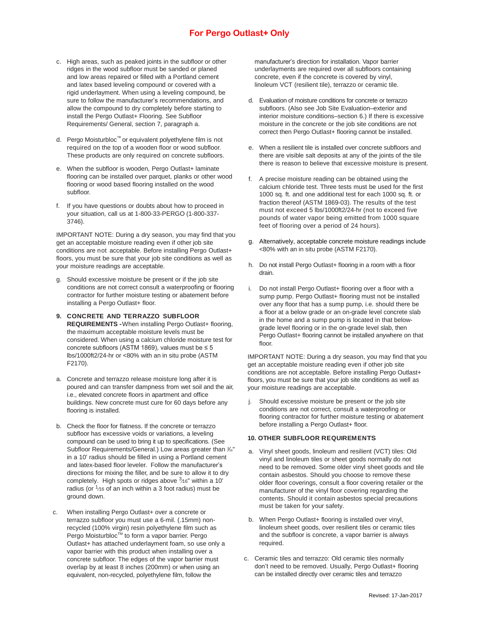- c. High areas, such as peaked joints in the subfloor or other ridges in the wood subfloor must be sanded or planed and low areas repaired or filled with a Portland cement and latex based leveling compound or covered with a rigid underlayment. When using a leveling compound, be sure to follow the manufacturer's recommendations, and allow the compound to dry completely before starting to install the Pergo Outlast+ Flooring. See Subfloor Requirements/ General, section 7, paragraph a.
- d. Pergo Moisturbloc™ or equivalent polyethylene film is not required on the top of a wooden floor or wood subfloor. These products are only required on concrete subfloors.
- e. When the subfloor is wooden, Pergo Outlast+ laminate flooring can be installed over parquet, planks or other wood flooring or wood based flooring installed on the wood subfloor.
- f. If you have questions or doubts about how to proceed in your situation, call us at 1-800-33-PERGO (1-800-337- 3746).

IMPORTANT NOTE: During a dry season, you may find that you get an acceptable moisture reading even if other job site conditions are not acceptable. Before installing Pergo Outlast+ floors, you must be sure that your job site conditions as well as your moisture readings are acceptable.

- g. Should excessive moisture be present or if the job site conditions are not correct consult a waterproofing or flooring contractor for further moisture testing or abatement before installing a Pergo Outlast+ floor.
- **9. CONCRETE AND TERRAZZO SUBFLOOR REQUIREMENTS -**When installing Pergo Outlast+ flooring, the maximum acceptable moisture levels must be considered. When using a calcium chloride moisture test for concrete subfloors (ASTM 1869), values must be ≤ 5 lbs/1000ft2/24-hr or <80% with an in situ probe (ASTM F2170).
- a. Concrete and terrazzo release moisture long after it is poured and can transfer dampness from wet soil and the air, i.e., elevated concrete floors in apartment and office buildings. New concrete must cure for 60 days before any flooring is installed.
- b. Check the floor for flatness. If the concrete or terrazzo subfloor has excessive voids or variations, a leveling compound can be used to bring it up to specifications. (See Subfloor Requirements/General.) Low areas greater than  $\frac{3}{6}$ " in a 10' radius should be filled in using a Portland cement and latex-based floor leveler. Follow the manufacturer's directions for mixing the filler, and be sure to allow it to dry completely. High spots or ridges above  $3/16$ " within a 10' radius (or  $1/16$  of an inch within a 3 foot radius) must be ground down.
- c. When installing Pergo Outlast+ over a concrete or terrazzo subfloor you must use a 6-mil. (.15mm) nonrecycled (100% virgin) resin polyethylene film such as Pergo Moisturbloc™ to form a vapor barrier. Pergo Outlast+ has attached underlayment foam, so use only a vapor barrier with this product when installing over a concrete subfloor. The edges of the vapor barrier must overlap by at least 8 inches (200mm) or when using an equivalent, non-recycled, polyethylene film, follow the

manufacturer's direction for installation. Vapor barrier underlayments are required over all subfloors containing concrete, even if the concrete is covered by vinyl, linoleum VCT (resilient tile), terrazzo or ceramic tile.

- d. Evaluation of moisture conditions for concrete or terrazzo subfloors. (Also see Job Site Evaluation–exterior and interior moisture conditions–section 6.) If there is excessive moisture in the concrete or the job site conditions are not correct then Pergo Outlast+ flooring cannot be installed.
- e. When a resilient tile is installed over concrete subfloors and there are visible salt deposits at any of the joints of the tile there is reason to believe that excessive moisture is present.
- f. A precise moisture reading can be obtained using the calcium chloride test. Three tests must be used for the first 1000 sq. ft. and one additional test for each 1000 sq. ft. or fraction thereof (ASTM 1869-03). The results of the test must not exceed 5 lbs/1000ft2/24-hr (not to exceed five pounds of water vapor being emitted from 1000 square feet of flooring over a period of 24 hours).
- g. Alternatively, acceptable concrete moisture readings include <80% with an in situ probe (ASTM F2170).
- h. Do not install Pergo Outlast+ flooring in a room with a floor drain.
- i. Do not install Pergo Outlast+ flooring over a floor with a sump pump. Pergo Outlast+ flooring must not be installed over any floor that has a sump pump, i.e. should there be a floor at a below grade or an on-grade level concrete slab in the home and a sump pump is located in that belowgrade level flooring or in the on-grade level slab, then Pergo Outlast+ flooring cannot be installed anywhere on that floor.

IMPORTANT NOTE: During a dry season, you may find that you get an acceptable moisture reading even if other job site conditions are not acceptable. Before installing Pergo Outlast+ floors, you must be sure that your job site conditions as well as your moisture readings are acceptable.

j. Should excessive moisture be present or the job site conditions are not correct, consult a waterproofing or flooring contractor for further moisture testing or abatement before installing a Pergo Outlast+ floor.

#### **10. OTHER SUBFLOOR REQUIREMENTS**

- a. Vinyl sheet goods, linoleum and resilient (VCT) tiles: Old vinyl and linoleum tiles or sheet goods normally do not need to be removed. Some older vinyl sheet goods and tile contain asbestos. Should you choose to remove these older floor coverings, consult a floor covering retailer or the manufacturer of the vinyl floor covering regarding the contents. Should it contain asbestos special precautions must be taken for your safety.
- b. When Pergo Outlast+ flooring is installed over vinyl, linoleum sheet goods, over resilient tiles or ceramic tiles and the subfloor is concrete, a vapor barrier is always required.
- c. Ceramic tiles and terrazzo: Old ceramic tiles normally don't need to be removed. Usually, Pergo Outlast+ flooring can be installed directly over ceramic tiles and terrazzo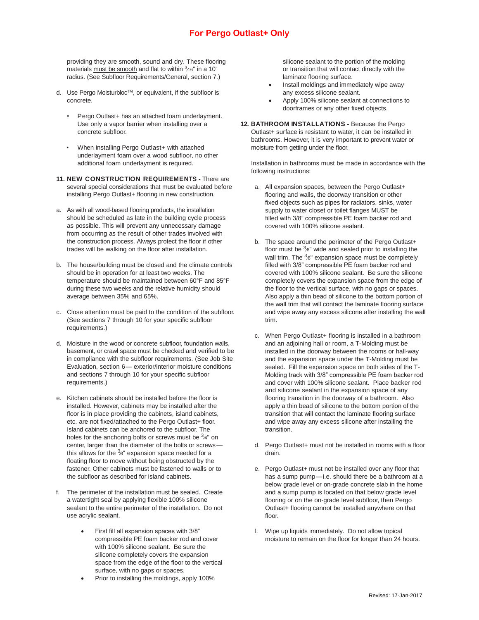providing they are smooth, sound and dry. These flooring materials must be smooth and flat to within  $3/16$ " in a 10' radius. (See Subfloor Requirements/General, section 7.)

- d. Use Pergo Moisturbloc™, or equivalent, if the subfloor is concrete.
	- Pergo Outlast+ has an attached foam underlayment. Use only a vapor barrier when installing over a concrete subfloor.
	- When installing Pergo Outlast+ with attached underlayment foam over a wood subfloor, no other additional foam underlayment is required.
- **11. NEW CONSTRUCTION REQUIREMENTS -** There are several special considerations that must be evaluated before installing Pergo Outlast+ flooring in new construction.
- a. As with all wood-based flooring products, the installation should be scheduled as late in the building cycle process as possible. This will prevent any unnecessary damage from occurring as the result of other trades involved with the construction process. Always protect the floor if other trades will be walking on the floor after installation.
- b. The house/building must be closed and the climate controls should be in operation for at least two weeks. The temperature should be maintained between 60°F and 85°F during these two weeks and the relative humidity should average between 35% and 65%.
- c. Close attention must be paid to the condition of the subfloor. (See sections 7 through 10 for your specific subfloor requirements.)
- d. Moisture in the wood or concrete subfloor, foundation walls, basement, or crawl space must be checked and verified to be in compliance with the subfloor requirements. (See Job Site Evaluation, section 6— exterior/interior moisture conditions and sections 7 through 10 for your specific subfloor requirements.)
- e. Kitchen cabinets should be installed before the floor is installed. However, cabinets may be installed after the floor is in place providing the cabinets, island cabinets, etc. are not fixed/attached to the Pergo Outlast+ floor. Island cabinets can be anchored to the subfloor. The holes for the anchoring bolts or screws must be  $3/4"$  on center, larger than the diameter of the bolts or screwsthis allows for the  $3e^{\theta}$  expansion space needed for a floating floor to move without being obstructed by the fastener. Other cabinets must be fastened to walls or to the subfloor as described for island cabinets.
- f. The perimeter of the installation must be sealed. Create a watertight seal by applying flexible 100% silicone sealant to the entire perimeter of the installation. Do not use acrylic sealant.
	- First fill all expansion spaces with 3/8" compressible PE foam backer rod and cover with 100% silicone sealant. Be sure the silicone completely covers the expansion space from the edge of the floor to the vertical surface, with no gaps or spaces.
	- Prior to installing the moldings, apply 100%

silicone sealant to the portion of the molding or transition that will contact directly with the laminate flooring surface.

- Install moldings and immediately wipe away any excess silicone sealant.
- Apply 100% silicone sealant at connections to doorframes or any other fixed objects.
- **12. BATHROOM INSTALLATIONS -** Because the Pergo Outlast+ surface is resistant to water, it can be installed in bathrooms. However, it is very important to prevent water or moisture from getting under the floor.

Installation in bathrooms must be made in accordance with the following instructions:

- a. All expansion spaces, between the Pergo Outlast+ flooring and walls, the doorway transition or other fixed objects such as pipes for radiators, sinks, water supply to water closet or toilet flanges MUST be filled with 3/8" compressible PE foam backer rod and covered with 100% silicone sealant.
- b. The space around the perimeter of the Pergo Outlast+ floor must be  $3_{8}$ " wide and sealed prior to installing the wall trim. The  $3_{8}$ " expansion space must be completely filled with 3/8" compressible PE foam backer rod and covered with 100% silicone sealant. Be sure the silicone completely covers the expansion space from the edge of the floor to the vertical surface, with no gaps or spaces. Also apply a thin bead of silicone to the bottom portion of the wall trim that will contact the laminate flooring surface and wipe away any excess silicone after installing the wall trim.
- c. When Pergo Outlast+ flooring is installed in a bathroom and an adjoining hall or room, a T-Molding must be installed in the doorway between the rooms or hall-way and the expansion space under the T-Molding must be sealed. Fill the expansion space on both sides of the T-Molding track with 3/8" compressible PE foam backer rod and cover with 100% silicone sealant. Place backer rod and silicone sealant in the expansion space of any flooring transition in the doorway of a bathroom. Also apply a thin bead of silicone to the bottom portion of the transition that will contact the laminate flooring surface and wipe away any excess silicone after installing the transition.
- d. Pergo Outlast+ must not be installed in rooms with a floor drain.
- e. Pergo Outlast+ must not be installed over any floor that has a sump pump—i.e. should there be a bathroom at a below grade level or on-grade concrete slab in the home and a sump pump is located on that below grade level flooring or on the on-grade level subfloor, then Pergo Outlast+ flooring cannot be installed anywhere on that floor.
- f. Wipe up liquids immediately. Do not allow topical moisture to remain on the floor for longer than 24 hours.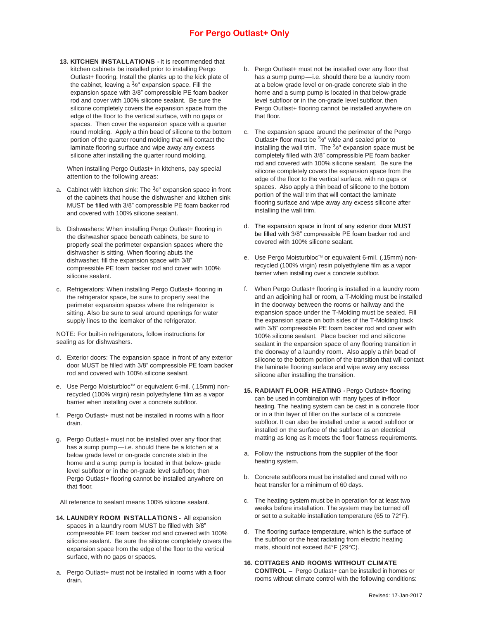**13. KITCHEN INSTALLATIONS -**It is recommended that kitchen cabinets be installed prior to installing Pergo Outlast+ flooring. Install the planks up to the kick plate of the cabinet, leaving a  $3s$ " expansion space. Fill the expansion space with 3/8" compressible PE foam backer rod and cover with 100% silicone sealant. Be sure the silicone completely covers the expansion space from the edge of the floor to the vertical surface, with no gaps or spaces. Then cover the expansion space with a quarter round molding. Apply a thin bead of silicone to the bottom portion of the quarter round molding that will contact the laminate flooring surface and wipe away any excess silicone after installing the quarter round molding.

When installing Pergo Outlast+ in kitchens, pay special attention to the following areas:

- a. Cabinet with kitchen sink: The  $3e^{\theta}$  expansion space in front of the cabinets that house the dishwasher and kitchen sink MUST be filled with 3/8" compressible PE foam backer rod and covered with 100% silicone sealant.
- b. Dishwashers: When installing Pergo Outlast+ flooring in the dishwasher space beneath cabinets, be sure to properly seal the perimeter expansion spaces where the dishwasher is sitting. When flooring abuts the dishwasher, fill the expansion space with 3/8" compressible PE foam backer rod and cover with 100% silicone sealant.
- c. Refrigerators: When installing Pergo Outlast+ flooring in the refrigerator space, be sure to properly seal the perimeter expansion spaces where the refrigerator is sitting. Also be sure to seal around openings for water supply lines to the icemaker of the refrigerator.

NOTE: For built-in refrigerators, follow instructions for sealing as for dishwashers.

- d. Exterior doors: The expansion space in front of any exterior door MUST be filled with 3/8" compressible PE foam backer rod and covered with 100% silicone sealant.
- e. Use Pergo Moisturbloc™ or equivalent 6-mil. (.15mm) nonrecycled (100% virgin) resin polyethylene film as a vapor barrier when installing over a concrete subfloor.
- f. Pergo Outlast+ must not be installed in rooms with a floor drain.
- g. Pergo Outlast+ must not be installed over any floor that has a sump pump—i.e. should there be a kitchen at a below grade level or on-grade concrete slab in the home and a sump pump is located in that below- grade level subfloor or in the on-grade level subfloor, then Pergo Outlast+ flooring cannot be installed anywhere on that floor.

All reference to sealant means 100% silicone sealant.

- **14. LAUNDRY ROOM INSTALLATIONS -** All expansion spaces in a laundry room MUST be filled with 3/8" compressible PE foam backer rod and covered with 100% silicone sealant. Be sure the silicone completely covers the expansion space from the edge of the floor to the vertical surface, with no gaps or spaces.
- a. Pergo Outlast+ must not be installed in rooms with a floor drain.
- b. Pergo Outlast+ must not be installed over any floor that has a sump pump—i.e. should there be a laundry room at a below grade level or on-grade concrete slab in the home and a sump pump is located in that below-grade level subfloor or in the on-grade level subfloor, then Pergo Outlast+ flooring cannot be installed anywhere on that floor.
- c. The expansion space around the perimeter of the Pergo Outlast+ floor must be  $3e^x$  wide and sealed prior to installing the wall trim. The  $3_{8}$ " expansion space must be completely filled with 3/8" compressible PE foam backer rod and covered with 100% silicone sealant. Be sure the silicone completely covers the expansion space from the edge of the floor to the vertical surface, with no gaps or spaces. Also apply a thin bead of silicone to the bottom portion of the wall trim that will contact the laminate flooring surface and wipe away any excess silicone after installing the wall trim.
- d. The expansion space in front of any exterior door MUST be filled with 3/8" compressible PE foam backer rod and covered with 100% silicone sealant.
- e. Use Pergo Moisturbloc™ or equivalent 6-mil. (.15mm) nonrecycled (100% virgin) resin polyethylene film as a vapor barrier when installing over a concrete subfloor.
- f. When Pergo Outlast+ flooring is installed in a laundry room and an adjoining hall or room, a T-Molding must be installed in the doorway between the rooms or hallway and the expansion space under the T-Molding must be sealed. Fill the expansion space on both sides of the T-Molding track with 3/8" compressible PE foam backer rod and cover with 100% silicone sealant. Place backer rod and silicone sealant in the expansion space of any flooring transition in the doorway of a laundry room. Also apply a thin bead of silicone to the bottom portion of the transition that will contact the laminate flooring surface and wipe away any excess silicone after installing the transition.
- **15. RADIANT FLOOR HEATING -**Pergo Outlast+ flooring can be used in combination with many types of in-floor heating. The heating system can be cast in a concrete floor or in a thin layer of filler on the surface of a concrete subfloor. It can also be installed under a wood subfloor or installed on the surface of the subfloor as an electrical matting as long as it meets the floor flatness requirements.
- a. Follow the instructions from the supplier of the floor heating system.
- b. Concrete subfloors must be installed and cured with no heat transfer for a minimum of 60 days.
- c. The heating system must be in operation for at least two weeks before installation. The system may be turned off or set to a suitable installation temperature (65 to 72°F).
- d. The flooring surface temperature, which is the surface of the subfloor or the heat radiating from electric heating mats, should not exceed 84°F (29°C).
- **16. COTTAGES AND ROOMS WITHOUT CLIMATE CONTROL –** Pergo Outlast+ can be installed in homes or rooms without climate control with the following conditions: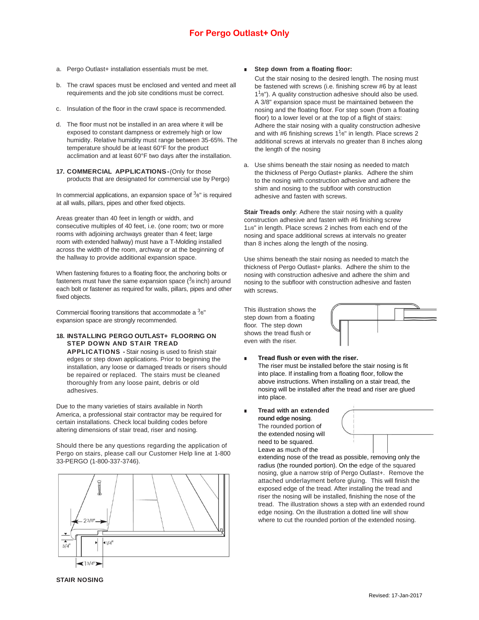- a. Pergo Outlast+ installation essentials must be met.
- b. The crawl spaces must be enclosed and vented and meet all requirements and the job site conditions must be correct.
- c. Insulation of the floor in the crawl space is recommended.
- d. The floor must not be installed in an area where it will be exposed to constant dampness or extremely high or low humidity. Relative humidity must range between 35-65%. The temperature should be at least 60°F for the product acclimation and at least 60°F two days after the installation.
- **17. COMMERCIAL APPLICATIONS-**(Only for those products that are designated for commercial use by Pergo)

In commercial applications, an expansion space of  $38"$  is required at all walls, pillars, pipes and other fixed objects.

Areas greater than 40 feet in length or width, and consecutive multiples of 40 feet, i.e. (one room; two or more rooms with adjoining archways greater than 4 feet; large room with extended hallway) must have a T-Molding installed across the width of the room, archway or at the beginning of the hallway to provide additional expansion space.

When fastening fixtures to a floating floor, the anchoring bolts or fasteners must have the same expansion space ( $3$ e inch) around each bolt or fastener as required for walls, pillars, pipes and other fixed objects.

Commercial flooring transitions that accommodate a  $3<sub>8</sub>$ " expansion space are strongly recommended.

### **18. INSTALLING PERGO OUTLAST+ FLOORING ON STEP DOWN AND STAIR TREAD**

**APPLICATIONS -** Stair nosing is used to finish stair edges or step down applications. Prior to beginning the installation, any loose or damaged treads or risers should be repaired or replaced. The stairs must be cleaned thoroughly from any loose paint, debris or old adhesives.

Due to the many varieties of stairs available in North America, a professional stair contractor may be required for certain installations. Check local building codes before altering dimensions of stair tread, riser and nosing.

Should there be any questions regarding the application of Pergo on stairs, please call our Customer Help line at 1-800 33-PERGO (1-800-337-3746).



#### ■ **Step down from a floating floor:**

Cut the stair nosing to the desired length. The nosing must be fastened with screws (i.e. finishing screw #6 by at least 1<sup>1</sup>/8"). A quality construction adhesive should also be used. A 3/8" expansion space must be maintained between the nosing and the floating floor. For step sown (from a floating floor) to a lower level or at the top of a flight of stairs: Adhere the stair nosing with a quality construction adhesive and with #6 finishing screws  $1<sup>1</sup>$ / $8<sup>n</sup>$  in length. Place screws 2 additional screws at intervals no greater than 8 inches along the length of the nosing

a. Use shims beneath the stair nosing as needed to match the thickness of Pergo Outlast+ planks. Adhere the shim to the nosing with construction adhesive and adhere the shim and nosing to the subfloor with construction adhesive and fasten with screws.

**Stair Treads only**: Adhere the stair nosing with a quality construction adhesive and fasten with #6 finishing screw 11/8" in length. Place screws 2 inches from each end of the nosing and space additional screws at intervals no greater than 8 inches along the length of the nosing.

Use shims beneath the stair nosing as needed to match the thickness of Pergo Outlast+ planks. Adhere the shim to the nosing with construction adhesive and adhere the shim and nosing to the subfloor with construction adhesive and fasten with screws.

This illustration shows the step down from a floating floor. The step down shows the tread flush or even with the riser.



#### **Tread flush or even with the riser.** The riser must be installed before the stair nosing is fit into place. If installing from a floating floor, follow the above instructions. When installing on a stair tread, the nosing will be installed after the tread and riser are glued into place.

■ **Tread with an extended round edge nosing**. The rounded portion of

> the extended nosing will need to be squared. Leave as much of the



extending nose of the tread as possible, removing only the radius (the rounded portion). On the edge of the squared nosing, glue a narrow strip of Pergo Outlast+. Remove the attached underlayment before gluing. This will finish the exposed edge of the tread. After installing the tread and riser the nosing will be installed, finishing the nose of the tread. The illustration shows a step with an extended round edge nosing. On the illustration a dotted line will show where to cut the rounded portion of the extended nosing.

**STAIR NOSING**